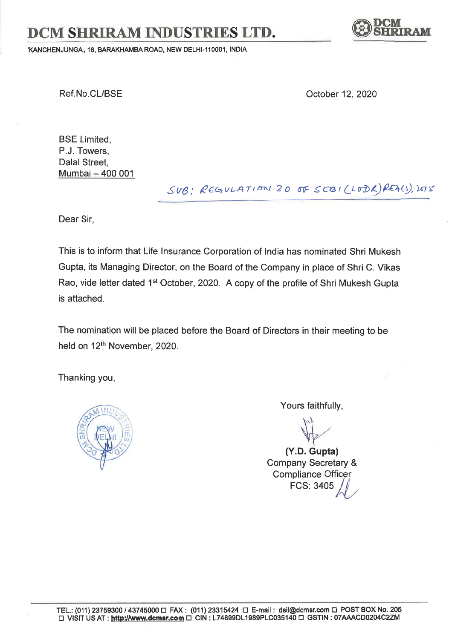## DCM SHRIRAM INDUSTRIES LTD.

'KANCHENJUNGA', 18, BARAKHAMBA ROAD, NEW DELHI-110001, INDIA



Ref.No.CL/BSE October 12, 2020

BSE Limited, P.J. Towers, Dalal Street, Mumbai - 400 <sup>001</sup>

 $SUB: REGULATION 30$  of  $SEBI(LFDK)RRG(s),WS$ 

Dear Sir,

This is to inform that Life lnsurance Corporation of lndia has nominated Shri Mukesh Gupta, its Managing Director, on the Board of the Company in place of Shri C. Vikas Rao, vide letter dated 1<sup>st</sup> October, 2020. A copy of the profile of Shri Mukesh Gupta is attached.

The nomination will be placed before the Board of Directors in their meeting to be held on 12<sup>th</sup> November, 2020.

Thanking you,



Yours faithfully,

(Y.D. Gupta)

Company Secretary & Compliance Officer FCS: 3405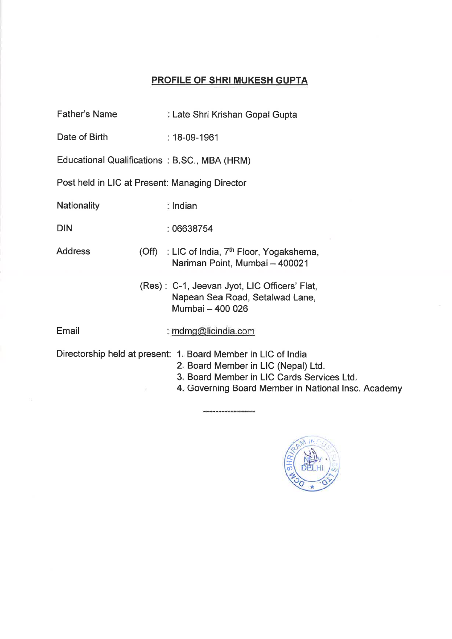## PROFILE OF SHRI MUKESH GUPTA

| <b>Father's Name</b>                           | Late Shri Krishan Gopal Gupta                                                                                                                                                                             |
|------------------------------------------------|-----------------------------------------------------------------------------------------------------------------------------------------------------------------------------------------------------------|
| Date of Birth                                  | $: 18 - 09 - 1961$                                                                                                                                                                                        |
|                                                | Educational Qualifications: B.SC., MBA (HRM)                                                                                                                                                              |
| Post held in LIC at Present: Managing Director |                                                                                                                                                                                                           |
| <b>Nationality</b>                             | $\frac{1}{2}$ Indian                                                                                                                                                                                      |
| <b>DIN</b>                                     | : 06638754                                                                                                                                                                                                |
| <b>Address</b>                                 | (Off) : LIC of India, 7 <sup>th</sup> Floor, Yogakshema,<br>Nariman Point, Mumbai - 400021                                                                                                                |
|                                                | (Res): C-1, Jeevan Jyot, LIC Officers' Flat,<br>Napean Sea Road, Setalwad Lane,<br>Mumbai - 400 026                                                                                                       |
| Email                                          | : mdmg@licindia.com                                                                                                                                                                                       |
|                                                | Directorship held at present: 1. Board Member in LIC of India<br>2. Board Member in LIC (Nepal) Ltd.<br>3. Board Member in LIC Cards Services Ltd.<br>4. Governing Board Member in National Insc. Academy |

----------------------------------

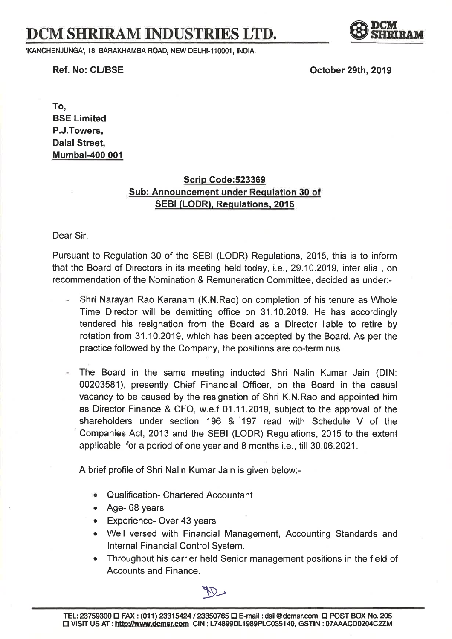## DCM SHRIRAM INDUSTRIES LTD.

.KANCHENJUNGA" 18, BARAKHAMBA ROAD, NEW DELHI.11OOO1, INDIA.

**W** SHRIRAM

Ref. No: CL/BSE

October 29th, 2019

To, BSE Limited P.J.Towers, Dalal Street, Mumbai-4O0 001

## Scrip Gode:523369 Sub: Announcement under Regulation 30 of SEBI (LODR). Requlations. <sup>2015</sup>

Dear Sir,

Pursuant to Regulation 30 of the SEBI (LODR) Regulations, 2015, this is to inform that the Board of Directors in its meeting held today, i.e., 29.10.2019, inter alia , on recommendation of the Nomination & Remuneration Committee, decided as under:-

- Shri Narayan Rao Karanam (K.N.Rao) on completion of his tenure as Whole Time Director will be demitting office on 31.10.2019. He has accordingly tendered his resignation from the Board as a Director liable to retire by rotation from 31 .10.2019, which has been accepted by the Board. As per the practice followed by the Company, the positions are co-terminus.
- The Board in the same meeting inducted Shri Nalin Kumar Jain (DlN: 00203581), presently Chief Financial Officer, on the Board in the casual vacancy to be caused by the resignation of Shri K.N.Rao and appointed him as Director Finance & CFO, w.e.f 01.11.2019, subject to the approval of the shareholders under section 196 &'197 read with Schedule V of the Companies Act,2013 and the SEBI (LODR) Regulations,2015 to the extent applicable, for a period of one year and 8 months i.e., till 30.06.2021.

A brief profile of Shri Nalin Kumar Jain is given below:-

- o Qualification- Chartered Accountant
- . Age- 68 years
- . Experience- Over 43 years
- Well versed with Financial Management, Accounting Standards and lnternal Financial Control System.
- Throughout his carrier held Senior management positions in the field of Accounts and Finance.